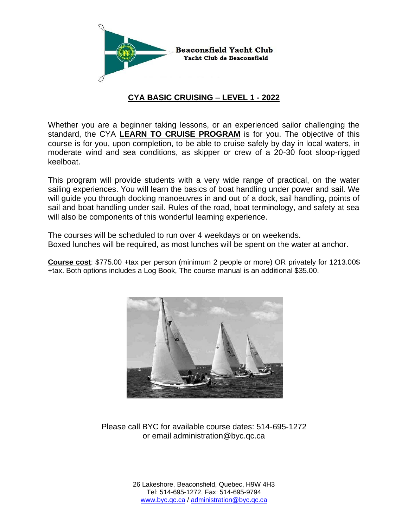

## **CYA BASIC CRUISING – LEVEL 1 - 2022**

Whether you are a beginner taking lessons, or an experienced sailor challenging the standard, the CYA **LEARN TO CRUISE PROGRAM** is for you. The objective of this course is for you, upon completion, to be able to cruise safely by day in local waters, in moderate wind and sea conditions, as skipper or crew of a 20-30 foot sloop-rigged keelboat.

This program will provide students with a very wide range of practical, on the water sailing experiences. You will learn the basics of boat handling under power and sail. We will guide you through docking manoeuvres in and out of a dock, sail handling, points of sail and boat handling under sail. Rules of the road, boat terminology, and safety at sea will also be components of this wonderful learning experience.

The courses will be scheduled to run over 4 weekdays or on weekends. Boxed lunches will be required, as most lunches will be spent on the water at anchor.

**Course cost**: \$775.00 +tax per person (minimum 2 people or more) OR privately for 1213.00\$ +tax. Both options includes a Log Book, The course manual is an additional \$35.00.



Please call BYC for available course dates: 514-695-1272 or email administration@byc.qc.ca

> 26 Lakeshore, Beaconsfield, Quebec, H9W 4H3 Tel: 514-695-1272, Fax: 514-695-9794 [www.byc.qc.ca](http://www.byc.qc.ca/) / [administration@byc.qc.ca](mailto:administration@byc.qc.ca)